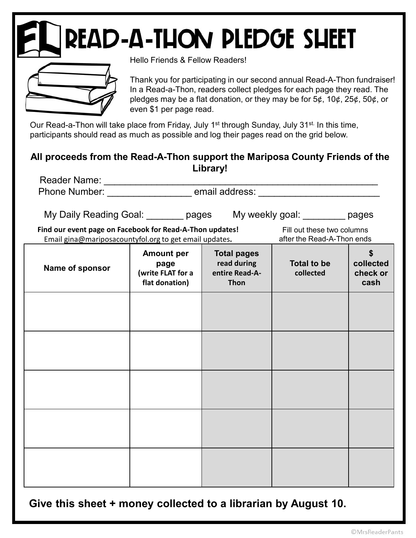## **READ-A-THON PLEDGE SHEET**



Hello Friends & Fellow Readers!

## All proceeds from the Read-A-Thon support the Mariposa County Friends of the Library!

|                                                                                                                                                                                                                    | even \$1 per page read.                                          |                                                                    | Thank you for participating in our second annual Read-A-Thon fundraiser!<br>In a Read-a-Thon, readers collect pledges for each page they read. The<br>pledges may be a flat donation, or they may be for $5¢$ , $10¢$ , $25¢$ , $50¢$ , or |                               |
|--------------------------------------------------------------------------------------------------------------------------------------------------------------------------------------------------------------------|------------------------------------------------------------------|--------------------------------------------------------------------|--------------------------------------------------------------------------------------------------------------------------------------------------------------------------------------------------------------------------------------------|-------------------------------|
| Our Read-a-Thon will take place from Friday, July 1 <sup>st</sup> through Sunday, July 31 <sup>st.</sup> In this time,<br>participants should read as much as possible and log their pages read on the grid below. |                                                                  |                                                                    |                                                                                                                                                                                                                                            |                               |
| All proceeds from the Read-A-Thon support the Mariposa County Friends of the                                                                                                                                       |                                                                  | Library!                                                           |                                                                                                                                                                                                                                            |                               |
|                                                                                                                                                                                                                    |                                                                  |                                                                    |                                                                                                                                                                                                                                            |                               |
|                                                                                                                                                                                                                    |                                                                  |                                                                    |                                                                                                                                                                                                                                            |                               |
| My Daily Reading Goal: ________ pages My weekly goal: ________ pages                                                                                                                                               |                                                                  |                                                                    |                                                                                                                                                                                                                                            |                               |
| Find our event page on Facebook for Read-A-Thon updates!<br>Email gina@mariposacountyfol.org to get email updates.                                                                                                 |                                                                  |                                                                    | Fill out these two columns<br>after the Read-A-Thon ends                                                                                                                                                                                   |                               |
| Name of sponsor                                                                                                                                                                                                    | <b>Amount per</b><br>page<br>(write FLAT for a<br>flat donation) | <b>Total pages</b><br>read during<br>entire Read-A-<br><b>Thon</b> | <b>Total to be</b><br>collected                                                                                                                                                                                                            | collected<br>check or<br>cash |
|                                                                                                                                                                                                                    |                                                                  |                                                                    |                                                                                                                                                                                                                                            |                               |
|                                                                                                                                                                                                                    |                                                                  |                                                                    |                                                                                                                                                                                                                                            |                               |
|                                                                                                                                                                                                                    |                                                                  |                                                                    |                                                                                                                                                                                                                                            |                               |
|                                                                                                                                                                                                                    |                                                                  |                                                                    |                                                                                                                                                                                                                                            |                               |
|                                                                                                                                                                                                                    |                                                                  |                                                                    |                                                                                                                                                                                                                                            |                               |
|                                                                                                                                                                                                                    |                                                                  |                                                                    |                                                                                                                                                                                                                                            |                               |

Give this sheet + money collected to a librarian by August 10.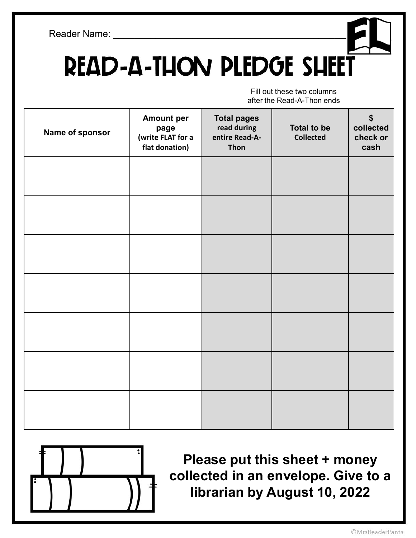## **READ-A-THON PLEDGE SHEET**

Fill out these two columns after the Read-A-Thon ends

|                 | <b>Amount per</b>                           | <b>Total pages</b>                    |                                        | $\boldsymbol{\$}$             |
|-----------------|---------------------------------------------|---------------------------------------|----------------------------------------|-------------------------------|
| Name of sponsor | page<br>(write FLAT for a<br>flat donation) | read during<br>entire Read-A-<br>Thon | <b>Total to be</b><br><b>Collected</b> | collected<br>check or<br>cash |
|                 |                                             |                                       |                                        |                               |
|                 |                                             |                                       |                                        |                               |
|                 |                                             |                                       |                                        |                               |
|                 |                                             |                                       |                                        |                               |
|                 |                                             |                                       |                                        |                               |
|                 |                                             |                                       |                                        |                               |
|                 |                                             |                                       |                                        |                               |
|                 |                                             |                                       |                                        |                               |
|                 |                                             |                                       |                                        |                               |
|                 |                                             |                                       |                                        |                               |
|                 |                                             |                                       |                                        |                               |
|                 |                                             |                                       |                                        |                               |



Please put this sheet + money collected in an envelope. Give to a librarian by August 10, 2022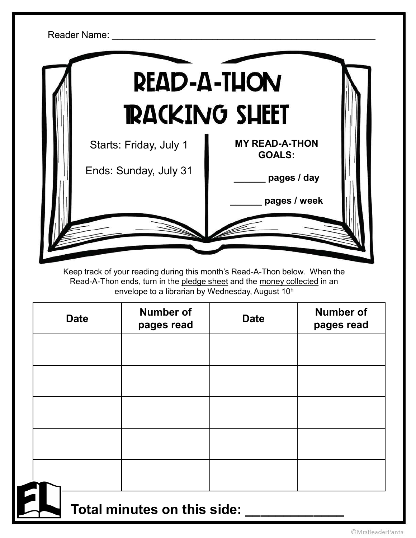

Keep track of your reading during this month's Read-A-Thon below. When the envelope to a librarian by Wednesday, August 10<sup>h</sup>

| <b>Date</b> | <b>Number of</b><br>pages read | <b>Date</b> | <b>Number of</b><br>pages read |
|-------------|--------------------------------|-------------|--------------------------------|
|             |                                |             |                                |
|             |                                |             |                                |
|             |                                |             |                                |
|             |                                |             |                                |
|             |                                |             |                                |

Total minutes on this side: